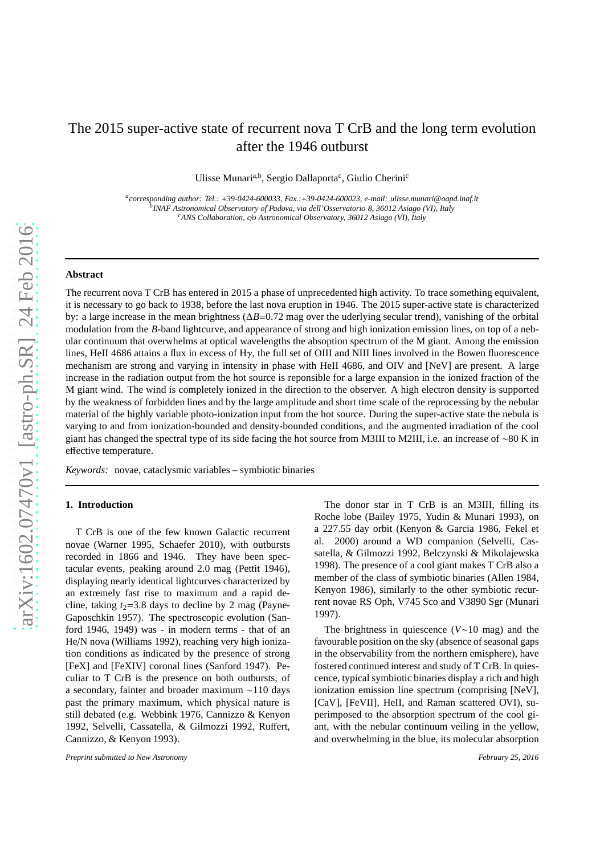# The 2015 super-active state of recurrent nova T CrB and the long term evolution after the 1946 outburst

Ulisse Munari<sup>a,b</sup>, Sergio Dallaporta<sup>c</sup>, Giulio Cherini<sup>c</sup>

*a corresponding author: Tel.:* +*39-0424-600033, Fax.:*+*39-0424-600023, e-mail: ulisse.munari@oapd.inaf.it b INAF Astronomical Observatory of Padova, via dell'Osservatorio 8, 36012 Asiago (VI), Italy <sup>c</sup>ANS Collaboration, c*/*o Astronomical Observatory, 36012 Asiago (VI), Italy*

# **Abstract**

The recurrent nova T CrB has entered in 2015 a phase of unprecedented high activity. To trace something equivalent, it is necessary to go back to 1938, before the last nova eruption in 1946. The 2015 super-active state is characterized by: a large increase in the mean brightness (∆*B*=0.72 mag over the uderlying secular trend), vanishing of the orbital modulation from the *B*-band lightcurve, and appearance of strong and high ionization emission lines, on top of a nebular continuum that overwhelms at optical wavelengths the absoption spectrum of the M giant. Among the emission lines, HeII 4686 attains a flux in excess of Hγ, the full set of OIII and NIII lines involved in the Bowen fluorescence mechanism are strong and varying in intensity in phase with HeII 4686, and OIV and [NeV] are present. A large increase in the radiation output from the hot source is reponsible for a large expansion in the ionized fraction of the M giant wind. The wind is completely ionized in the direction to the observer. A high electron density is supported by the weakness of forbidden lines and by the large amplitude and short time scale of the reprocessing by the nebular material of the highly variable photo-ionization input from the hot source. During the super-active state the nebula is varying to and from ionization-bounded and density-bounded conditions, and the augmented irradiation of the cool giant has changed the spectral type of its side facing the hot source from M3III to M2III, i.e. an increase of ∼80 K in effective temperature.

*Keywords:* novae, cataclysmic variables – symbiotic binaries

# **1. Introduction**

T CrB is one of the few known Galactic recurrent novae (Warner 1995, Schaefer 2010), with outbursts recorded in 1866 and 1946. They have been spectacular events, peaking around 2.0 mag (Pettit 1946), displaying nearly identical lightcurves characterized by an extremely fast rise to maximum and a rapid decline, taking  $t_2$ =3.8 days to decline by 2 mag (Payne-Gaposchkin 1957). The spectroscopic evolution (Sanford 1946, 1949) was - in modern terms - that of an He/N nova (Williams 1992), reaching very high ionization conditions as indicated by the presence of strong [FeX] and [FeXIV] coronal lines (Sanford 1947). Peculiar to T CrB is the presence on both outbursts, of a secondary, fainter and broader maximum ∼110 days past the primary maximum, which physical nature is still debated (e.g. Webbink 1976, Cannizzo & Kenyon 1992, Selvelli, Cassatella, & Gilmozzi 1992, Ruffert, Cannizzo, & Kenyon 1993).

The donor star in T CrB is an M3III, filling its Roche lobe (Bailey 1975, Yudin & Munari 1993), on a 227.55 day orbit (Kenyon & Garcia 1986, Fekel et al. 2000) around a WD companion (Selvelli, Cassatella, & Gilmozzi 1992, Belczynski & Mikolajewska 1998). The presence of a cool giant makes T CrB also a member of the class of symbiotic binaries (Allen 1984, Kenyon 1986), similarly to the other symbiotic recurrent novae RS Oph, V745 Sco and V3890 Sgr (Munari 1997).

The brightness in quiescence (*V*∼10 mag) and the favourable position on the sky (absence of seasonal gaps in the observability from the northern emisphere), have fostered continued interest and study of T CrB. In quiescence, typical symbiotic binaries display a rich and high ionization emission line spectrum (comprising [NeV], [CaV], [FeVII], HeII, and Raman scattered OVI), superimposed to the absorption spectrum of the cool giant, with the nebular continuum veiling in the yellow, and overwhelming in the blue, its molecular absorption

*Preprint submitted to New Astronomy February 25, 2016*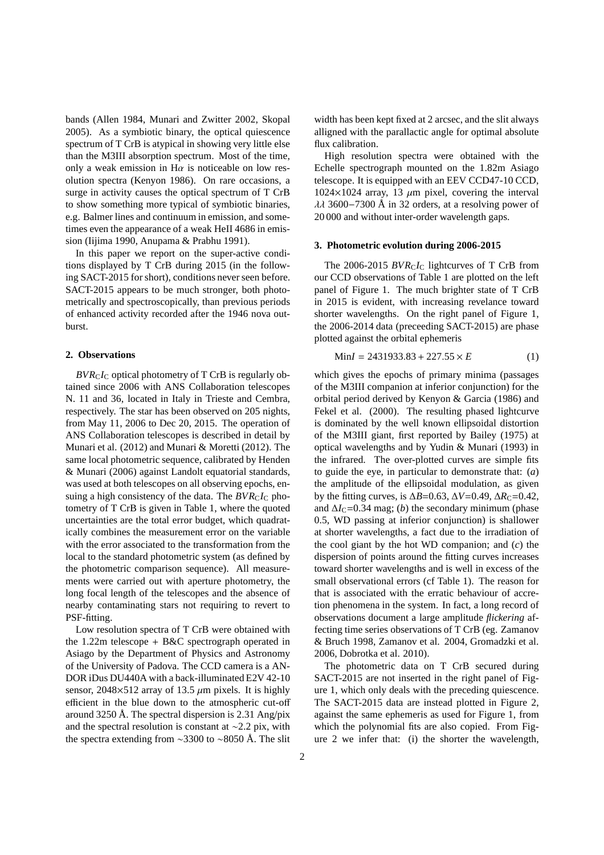bands (Allen 1984, Munari and Zwitter 2002, Skopal 2005). As a symbiotic binary, the optical quiescence spectrum of T CrB is atypical in showing very little else than the M3III absorption spectrum. Most of the time, only a weak emission in  $H\alpha$  is noticeable on low resolution spectra (Kenyon 1986). On rare occasions, a surge in activity causes the optical spectrum of T CrB to show something more typical of symbiotic binaries, e.g. Balmer lines and continuum in emission, and sometimes even the appearance of a weak HeII 4686 in emission (Iijima 1990, Anupama & Prabhu 1991).

In this paper we report on the super-active conditions displayed by T CrB during 2015 (in the following SACT-2015 for short), conditions never seen before. SACT-2015 appears to be much stronger, both photometrically and spectroscopically, than previous periods of enhanced activity recorded after the 1946 nova outburst.

# **2. Observations**

 $BVR<sub>C</sub>I<sub>C</sub>$  optical photometry of T CrB is regularly obtained since 2006 with ANS Collaboration telescopes N. 11 and 36, located in Italy in Trieste and Cembra, respectively. The star has been observed on 205 nights, from May 11, 2006 to Dec 20, 2015. The operation of ANS Collaboration telescopes is described in detail by Munari et al. (2012) and Munari & Moretti (2012). The same local photometric sequence, calibrated by Henden & Munari (2006) against Landolt equatorial standards, was used at both telescopes on all observing epochs, ensuing a high consistency of the data. The  $BVR<sub>C</sub>I<sub>C</sub>$  photometry of T CrB is given in Table 1, where the quoted uncertainties are the total error budget, which quadratically combines the measurement error on the variable with the error associated to the transformation from the local to the standard photometric system (as defined by the photometric comparison sequence). All measurements were carried out with aperture photometry, the long focal length of the telescopes and the absence of nearby contaminating stars not requiring to revert to PSF-fitting.

Low resolution spectra of T CrB were obtained with the 1.22m telescope + B&C spectrograph operated in Asiago by the Department of Physics and Astronomy of the University of Padova. The CCD camera is a AN-DOR iDus DU440A with a back-illuminated E2V 42-10 sensor, 2048 $\times$ 512 array of 13.5  $\mu$ m pixels. It is highly efficient in the blue down to the atmospheric cut-off around 3250 Å. The spectral dispersion is 2.31 Ang/pix and the spectral resolution is constant at ∼2.2 pix, with the spectra extending from ∼3300 to ∼8050 Å. The slit width has been kept fixed at 2 arcsec, and the slit always alligned with the parallactic angle for optimal absolute flux calibration.

High resolution spectra were obtained with the Echelle spectrograph mounted on the 1.82m Asiago telescope. It is equipped with an EEV CCD47-10 CCD,  $1024\times1024$  array, 13  $\mu$ m pixel, covering the interval  $\lambda\lambda$  3600−7300 Å in 32 orders, at a resolving power of 20 000 and without inter-order wavelength gaps.

## **3. Photometric evolution during 2006-2015**

The 2006-2015  $BVR<sub>C</sub>I<sub>C</sub>$  lightcurves of T CrB from our CCD observations of Table 1 are plotted on the left panel of Figure 1. The much brighter state of T CrB in 2015 is evident, with increasing revelance toward shorter wavelengths. On the right panel of Figure 1, the 2006-2014 data (preceeding SACT-2015) are phase plotted against the orbital ephemeris

$$
MinI = 2431933.83 + 227.55 \times E \tag{1}
$$

which gives the epochs of primary minima (passages of the M3III companion at inferior conjunction) for the orbital period derived by Kenyon & Garcia (1986) and Fekel et al. (2000). The resulting phased lightcurve is dominated by the well known ellipsoidal distortion of the M3III giant, first reported by Bailey (1975) at optical wavelengths and by Yudin & Munari (1993) in the infrared. The over-plotted curves are simple fits to guide the eye, in particular to demonstrate that: (*a*) the amplitude of the ellipsoidal modulation, as given by the fitting curves, is  $\Delta B$ =0.63,  $\Delta V$ =0.49,  $\Delta R_C$ =0.42, and  $\Delta I_C$ =0.34 mag; (*b*) the secondary minimum (phase 0.5, WD passing at inferior conjunction) is shallower at shorter wavelengths, a fact due to the irradiation of the cool giant by the hot WD companion; and (*c*) the dispersion of points around the fitting curves increases toward shorter wavelengths and is well in excess of the small observational errors (cf Table 1). The reason for that is associated with the erratic behaviour of accretion phenomena in the system. In fact, a long record of observations document a large amplitude *flickering* affecting time series observations of T CrB (eg. Zamanov & Bruch 1998, Zamanov et al. 2004, Gromadzki et al. 2006, Dobrotka et al. 2010).

The photometric data on T CrB secured during SACT-2015 are not inserted in the right panel of Figure 1, which only deals with the preceding quiescence. The SACT-2015 data are instead plotted in Figure 2, against the same ephemeris as used for Figure 1, from which the polynomial fits are also copied. From Figure 2 we infer that: (i) the shorter the wavelength,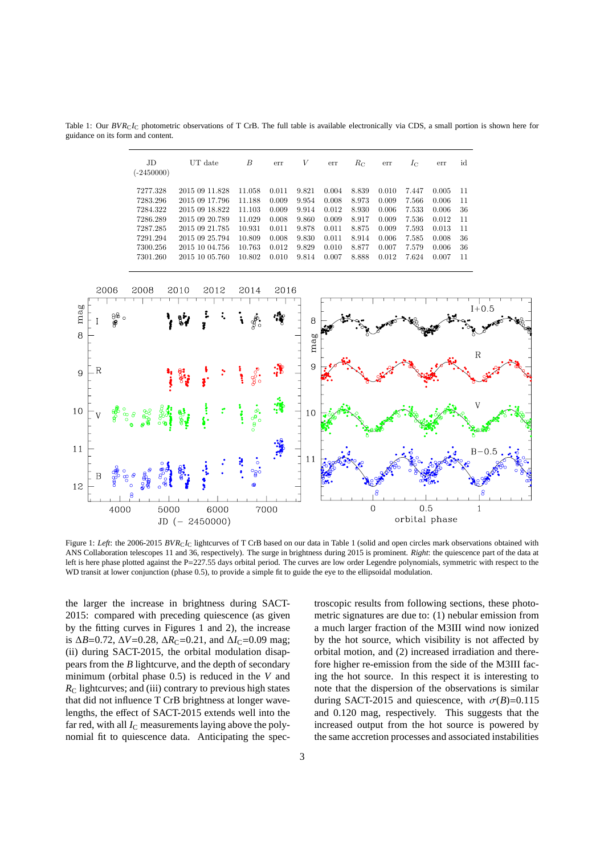Table 1: Our  $BVR<sub>C</sub>I<sub>C</sub>$  photometric observations of T CrB. The full table is available electronically via CDS, a small portion is shown here for guidance on its form and content.

| JD<br>$(-2450000)$ | UT date        | B      | err   | V     | err   | $R_{\rm C}$ | err   | $I_{\rm C}$ | err   | id |
|--------------------|----------------|--------|-------|-------|-------|-------------|-------|-------------|-------|----|
| 7277.328           | 2015 09 11.828 | 11.058 | 0.011 | 9.821 | 0.004 | 8.839       | 0.010 | 7.447       | 0.005 | 11 |
| 7283.296           | 2015 09 17.796 | 11.188 | 0.009 | 9.954 | 0.008 | 8.973       | 0.009 | 7.566       | 0.006 | 11 |
| 7284.322           | 2015 09 18.822 | 11.103 | 0.009 | 9.914 | 0.012 | 8.930       | 0.006 | 7.533       | 0.006 | 36 |
| 7286.289           | 2015 09 20.789 | 11.029 | 0.008 | 9.860 | 0.009 | 8.917       | 0.009 | 7.536       | 0.012 | 11 |
| 7287.285           | 2015 09 21.785 | 10.931 | 0.011 | 9.878 | 0.011 | 8.875       | 0.009 | 7.593       | 0.013 | 11 |
| 7291.294           | 2015 09 25.794 | 10.809 | 0.008 | 9.830 | 0.011 | 8.914       | 0.006 | 7.585       | 0.008 | 36 |
| 7300.256           | 2015 10 04.756 | 10.763 | 0.012 | 9.829 | 0.010 | 8.877       | 0.007 | 7.579       | 0.006 | 36 |
| 7301.260           | 2015 10 05.760 | 10.802 | 0.010 | 9.814 | 0.007 | 8.888       | 0.012 | 7.624       | 0.007 | 11 |



Figure 1: Left: the 2006-2015 BVR<sub>C</sub>I<sub>C</sub> lightcurves of T CrB based on our data in Table 1 (solid and open circles mark observations obtained with ANS Collaboration telescopes 11 and 36, respectively). The surge in brightness during 2015 is prominent. *Right*: the quiescence part of the data at left is here phase plotted against the P=227.55 days orbital period. The curves are low order Legendre polynomials, symmetric with respect to the WD transit at lower conjunction (phase 0.5), to provide a simple fit to guide the eye to the ellipsoidal modulation.

the larger the increase in brightness during SACT-2015: compared with preceding quiescence (as given by the fitting curves in Figures 1 and 2), the increase is  $\Delta B = 0.72$ ,  $\Delta V = 0.28$ ,  $\Delta R_C = 0.21$ , and  $\Delta I_C = 0.09$  mag; (ii) during SACT-2015, the orbital modulation disappears from the *B* lightcurve, and the depth of secondary minimum (orbital phase 0.5) is reduced in the *V* and  $R_{\rm C}$  lightcurves; and (iii) contrary to previous high states that did not influence T CrB brightness at longer wavelengths, the effect of SACT-2015 extends well into the far red, with all  $I_{\rm C}$  measurements laying above the polynomial fit to quiescence data. Anticipating the spectroscopic results from following sections, these photometric signatures are due to: (1) nebular emission from a much larger fraction of the M3III wind now ionized by the hot source, which visibility is not affected by orbital motion, and (2) increased irradiation and therefore higher re-emission from the side of the M3III facing the hot source. In this respect it is interesting to note that the dispersion of the observations is similar during SACT-2015 and quiescence, with  $\sigma(B)=0.115$ and 0.120 mag, respectively. This suggests that the increased output from the hot source is powered by the same accretion processes and associated instabilities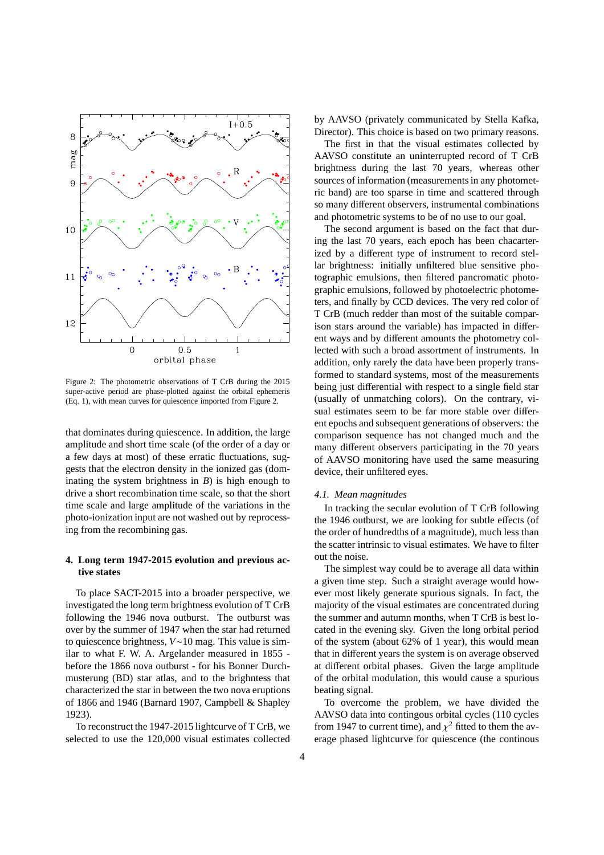

Figure 2: The photometric observations of T CrB during the 2015 super-active period are phase-plotted against the orbital ephemeris (Eq. 1), with mean curves for quiescence imported from Figure 2.

that dominates during quiescence. In addition, the large amplitude and short time scale (of the order of a day or a few days at most) of these erratic fluctuations, suggests that the electron density in the ionized gas (dominating the system brightness in  $B$ ) is high enough to drive a short recombination time scale, so that the short time scale and large amplitude of the variations in the photo-ionization input are not washed out by reprocessing from the recombining gas.

# **4. Long term 1947-2015 evolution and previous active states**

To place SACT-2015 into a broader perspective, we investigated the long term brightness evolution of T CrB following the 1946 nova outburst. The outburst was over by the summer of 1947 when the star had returned to quiescence brightness, *V*∼10 mag. This value is similar to what F. W. A. Argelander measured in 1855 before the 1866 nova outburst - for his Bonner Durchmusterung (BD) star atlas, and to the brighntess that characterized the star in between the two nova eruptions of 1866 and 1946 (Barnard 1907, Campbell & Shapley 1923).

To reconstruct the 1947-2015 lightcurve of T CrB, we selected to use the 120,000 visual estimates collected by AAVSO (privately communicated by Stella Kafka, Director). This choice is based on two primary reasons.

The first in that the visual estimates collected by AAVSO constitute an uninterrupted record of T CrB brightness during the last 70 years, whereas other sources of information (measurements in any photometric band) are too sparse in time and scattered through so many different observers, instrumental combinations and photometric systems to be of no use to our goal.

The second argument is based on the fact that during the last 70 years, each epoch has been chacarterized by a different type of instrument to record stellar brightness: initially unfiltered blue sensitive photographic emulsions, then filtered pancromatic photographic emulsions, followed by photoelectric photometers, and finally by CCD devices. The very red color of T CrB (much redder than most of the suitable comparison stars around the variable) has impacted in different ways and by different amounts the photometry collected with such a broad assortment of instruments. In addition, only rarely the data have been properly transformed to standard systems, most of the measurements being just differential with respect to a single field star (usually of unmatching colors). On the contrary, visual estimates seem to be far more stable over different epochs and subsequent generations of observers: the comparison sequence has not changed much and the many different observers participating in the 70 years of AAVSO monitoring have used the same measuring device, their unfiltered eyes.

#### *4.1. Mean magnitudes*

In tracking the secular evolution of T CrB following the 1946 outburst, we are looking for subtle effects (of the order of hundredths of a magnitude), much less than the scatter intrinsic to visual estimates. We have to filter out the noise.

The simplest way could be to average all data within a given time step. Such a straight average would however most likely generate spurious signals. In fact, the majority of the visual estimates are concentrated during the summer and autumn months, when T CrB is best located in the evening sky. Given the long orbital period of the system (about 62% of 1 year), this would mean that in different years the system is on average observed at different orbital phases. Given the large amplitude of the orbital modulation, this would cause a spurious beating signal.

To overcome the problem, we have divided the AAVSO data into contingous orbital cycles (110 cycles from 1947 to current time), and  $\chi^2$  fitted to them the average phased lightcurve for quiescence (the continous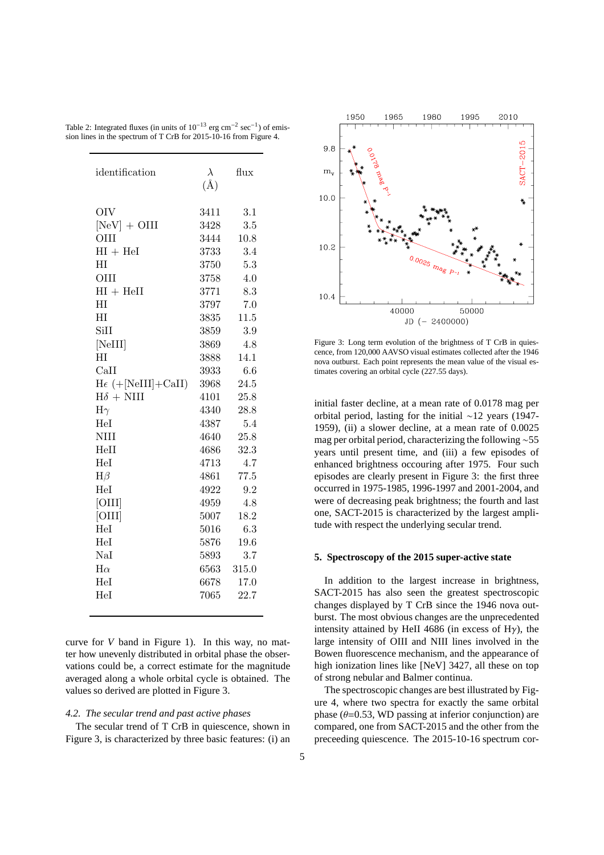| identification              | $\lambda$<br>$(\AA)$ | flux  |  |
|-----------------------------|----------------------|-------|--|
|                             |                      |       |  |
| <b>OIV</b>                  | 3411                 | 3.1   |  |
| $[NeV] + OIII$              | 3428                 | 3.5   |  |
| <b>OIII</b>                 | 3444                 | 10.8  |  |
| $HI + HeI$                  | 3733                 | 3.4   |  |
| HТ                          | 3750                 | 5.3   |  |
| OIII                        | 3758                 | 4.0   |  |
| $HI + HeII$                 | 3771                 | 8.3   |  |
| НI                          | 3797                 | 7.0   |  |
| HT                          | 3835                 | 11.5  |  |
| <b>SiII</b>                 | 3859                 | 3.9   |  |
| [NeIII]                     | 3869                 | 4.8   |  |
| HT                          | 3888                 | 14.1  |  |
| CaII                        | 3933                 | 6.6   |  |
| $H\epsilon$ (+[NeIII]+CaII) | 3968                 | 24.5  |  |
| $H\delta + NIII$            | 4101                 | 25.8  |  |
| $H\gamma$                   | 4340                 | 28.8  |  |
| HeI                         | 4387                 | 5.4   |  |
| NIII                        | 4640                 | 25.8  |  |
| HeII                        | 4686                 | 32.3  |  |
| Hel                         | 4713                 | 4.7   |  |
| $H\beta$                    | 4861                 | 77.5  |  |
| HeI                         | 4922                 | 9.2   |  |
| [OIII]                      | 4959                 | 4.8   |  |
| [OIII]                      | 5007                 | 18.2  |  |
| HeI                         | 5016                 | 6.3   |  |
| HeI                         | 5876                 | 19.6  |  |
| NaI                         | 5893                 | 3.7   |  |
| $H\alpha$                   | 6563                 | 315.0 |  |
| Hel                         | 6678                 | 17.0  |  |
| Hel                         | 7065                 | 22.7  |  |
|                             |                      |       |  |

Table 2: Integrated fluxes (in units of  $10^{-13}$  erg cm<sup>-2</sup> sec<sup>-1</sup>) of emission lines in the spectrum of T CrB for 2015-10-16 from Figure 4.

curve for *V* band in Figure 1). In this way, no matter how unevenly distributed in orbital phase the observations could be, a correct estimate for the magnitude averaged along a whole orbital cycle is obtained. The values so derived are plotted in Figure 3.

# *4.2. The secular trend and past active phases*

The secular trend of T CrB in quiescence, shown in Figure 3, is characterized by three basic features: (i) an



Figure 3: Long term evolution of the brightness of T CrB in quiescence, from 120,000 AAVSO visual estimates collected after the 1946 nova outburst. Each point represents the mean value of the visual estimates covering an orbital cycle (227.55 days).

initial faster decline, at a mean rate of 0.0178 mag per orbital period, lasting for the initial ∼12 years (1947- 1959), (ii) a slower decline, at a mean rate of 0.0025 mag per orbital period, characterizing the following ∼55 years until present time, and (iii) a few episodes of enhanced brightness occouring after 1975. Four such episodes are clearly present in Figure 3: the first three occurred in 1975-1985, 1996-1997 and 2001-2004, and were of decreasing peak brightness; the fourth and last one, SACT-2015 is characterized by the largest amplitude with respect the underlying secular trend.

#### **5. Spectroscopy of the 2015 super-active state**

In addition to the largest increase in brightness, SACT-2015 has also seen the greatest spectroscopic changes displayed by T CrB since the 1946 nova outburst. The most obvious changes are the unprecedented intensity attained by HeII 4686 (in excess of H $\gamma$ ), the large intensity of OIII and NIII lines involved in the Bowen fluorescence mechanism, and the appearance of high ionization lines like [NeV] 3427, all these on top of strong nebular and Balmer continua.

The spectroscopic changes are best illustrated by Figure 4, where two spectra for exactly the same orbital phase  $(\theta=0.53, \text{WD}$  passing at inferior conjunction) are compared, one from SACT-2015 and the other from the preceeding quiescence. The 2015-10-16 spectrum cor-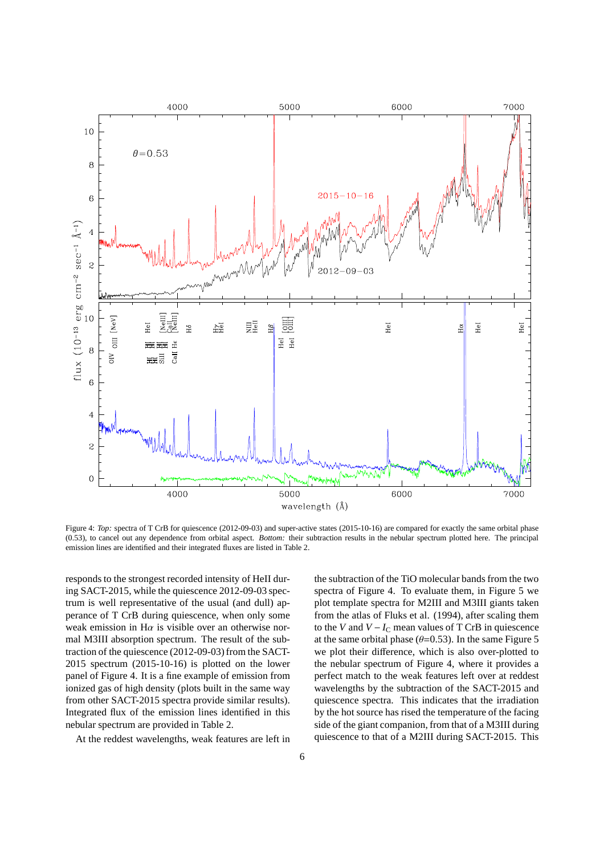

Figure 4: *Top:* spectra of T CrB for quiescence (2012-09-03) and super-active states (2015-10-16) are compared for exactly the same orbital phase (0.53), to cancel out any dependence from orbital aspect. *Bottom:* their subtraction results in the nebular spectrum plotted here. The principal emission lines are identified and their integrated fluxes are listed in Table 2.

responds to the strongest recorded intensity of HeII during SACT-2015, while the quiescence 2012-09-03 spectrum is well representative of the usual (and dull) apperance of T CrB during quiescence, when only some weak emission in H $\alpha$  is visible over an otherwise normal M3III absorption spectrum. The result of the subtraction of the quiescence (2012-09-03) from the SACT-2015 spectrum (2015-10-16) is plotted on the lower panel of Figure 4. It is a fine example of emission from ionized gas of high density (plots built in the same way from other SACT-2015 spectra provide similar results). Integrated flux of the emission lines identified in this nebular spectrum are provided in Table 2.

At the reddest wavelengths, weak features are left in

the subtraction of the TiO molecular bands from the two spectra of Figure 4. To evaluate them, in Figure 5 we plot template spectra for M2III and M3III giants taken from the atlas of Fluks et al. (1994), after scaling them to the *V* and  $V - I_C$  mean values of T CrB in quiescence at the same orbital phase ( $\theta$ =0.53). In the same Figure 5 we plot their difference, which is also over-plotted to the nebular spectrum of Figure 4, where it provides a perfect match to the weak features left over at reddest wavelengths by the subtraction of the SACT-2015 and quiescence spectra. This indicates that the irradiation by the hot source has rised the temperature of the facing side of the giant companion, from that of a M3III during quiescence to that of a M2III during SACT-2015. This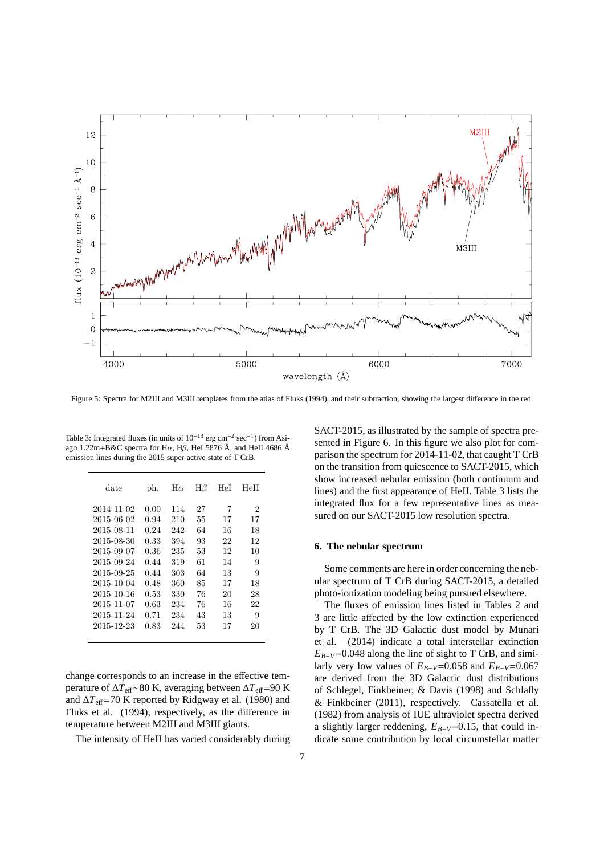

Figure 5: Spectra for M2III and M3III templates from the atlas of Fluks (1994), and their subtraction, showing the largest difference in the red.

Table 3: Integrated fluxes (in units of  $10^{-13}$  erg cm<sup>-2</sup> sec<sup>-1</sup>) from Asiago 1.22m+B&C spectra for H $\alpha$ , H $\beta$ , HeI 5876 Å, and HeII 4686 Å emission lines during the 2015 super-active state of T CrB.

| date       | ph.  | $H\alpha$ | ${ {\rm H}{\beta}}$ | HeI | HeII |
|------------|------|-----------|---------------------|-----|------|
| 2014-11-02 | 0.00 | 114       | 27                  | 7   | 2    |
| 2015-06-02 | 0.94 | 210       | 55                  | 17  | 17   |
| 2015-08-11 | 0.24 | 242       | 64                  | 16  | 18   |
| 2015-08-30 | 0.33 | 394       | 93                  | 22  | 12   |
| 2015-09-07 | 0.36 | 235       | 53                  | 12  | 10   |
| 2015-09-24 | 0.44 | 319       | 61                  | 14  | 9    |
| 2015-09-25 | 0.44 | 303       | 64                  | 13  | 9    |
| 2015-10-04 | 0.48 | 360       | 85                  | 17  | 18   |
| 2015-10-16 | 0.53 | 330       | 76                  | 20  | 28   |
| 2015-11-07 | 0.63 | 234       | 76                  | 16  | 22   |
| 2015-11-24 | 0.71 | 234       | 43                  | 13  | 9    |
| 2015-12-23 | 0.83 | 244       | 53                  | 17  | 20   |
|            |      |           |                     |     |      |

change corresponds to an increase in the effective temperature of ∆*T*eff∼80 K, averaging between ∆*T*eff=90 K and  $\Delta T_{\text{eff}}$ =70 K reported by Ridgway et al. (1980) and Fluks et al. (1994), respectively, as the difference in temperature between M2III and M3III giants.

The intensity of HeII has varied considerably during

SACT-2015, as illustrated by the sample of spectra presented in Figure 6. In this figure we also plot for comparison the spectrum for 2014-11-02, that caught T CrB on the transition from quiescence to SACT-2015, which show increased nebular emission (both continuum and lines) and the first appearance of HeII. Table 3 lists the integrated flux for a few representative lines as measured on our SACT-2015 low resolution spectra.

#### **6. The nebular spectrum**

Some comments are here in order concerning the nebular spectrum of T CrB during SACT-2015, a detailed photo-ionization modeling being pursued elsewhere.

The fluxes of emission lines listed in Tables 2 and 3 are little affected by the low extinction experienced by T CrB. The 3D Galactic dust model by Munari et al. (2014) indicate a total interstellar extinction  $E_{B-V}$ =0.048 along the line of sight to T CrB, and similarly very low values of  $E_{B-V}$ =0.058 and  $E_{B-V}$ =0.067 are derived from the 3D Galactic dust distributions of Schlegel, Finkbeiner, & Davis (1998) and Schlafly & Finkbeiner (2011), respectively. Cassatella et al. (1982) from analysis of IUE ultraviolet spectra derived a slightly larger reddening, *EB*−*V*=0.15, that could indicate some contribution by local circumstellar matter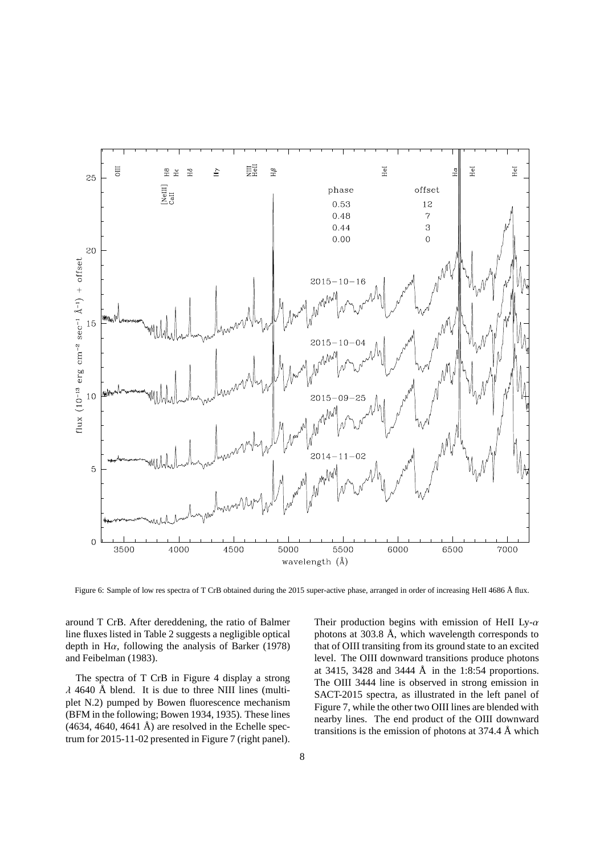

Figure 6: Sample of low res spectra of T CrB obtained during the 2015 super-active phase, arranged in order of increasing HeII 4686 Å flux.

around T CrB. After dereddening, the ratio of Balmer line fluxes listed in Table 2 suggests a negligible optical depth in H $\alpha$ , following the analysis of Barker (1978) and Feibelman (1983).

The spectra of T CrB in Figure 4 display a strong  $\lambda$  4640 Å blend. It is due to three NIII lines (multiplet N.2) pumped by Bowen fluorescence mechanism (BFM in the following; Bowen 1934, 1935). These lines  $(4634, 4640, 4641 \text{ Å})$  are resolved in the Echelle spectrum for 2015-11-02 presented in Figure 7 (right panel). Their production begins with emission of HeII Ly- $\alpha$ photons at 303.8 Å, which wavelength corresponds to that of OIII transiting from its ground state to an excited level. The OIII downward transitions produce photons at 3415, 3428 and 3444 Å in the 1:8:54 proportions. The OIII 3444 line is observed in strong emission in SACT-2015 spectra, as illustrated in the left panel of Figure 7, while the other two OIII lines are blended with nearby lines. The end product of the OIII downward transitions is the emission of photons at 374.4 Å which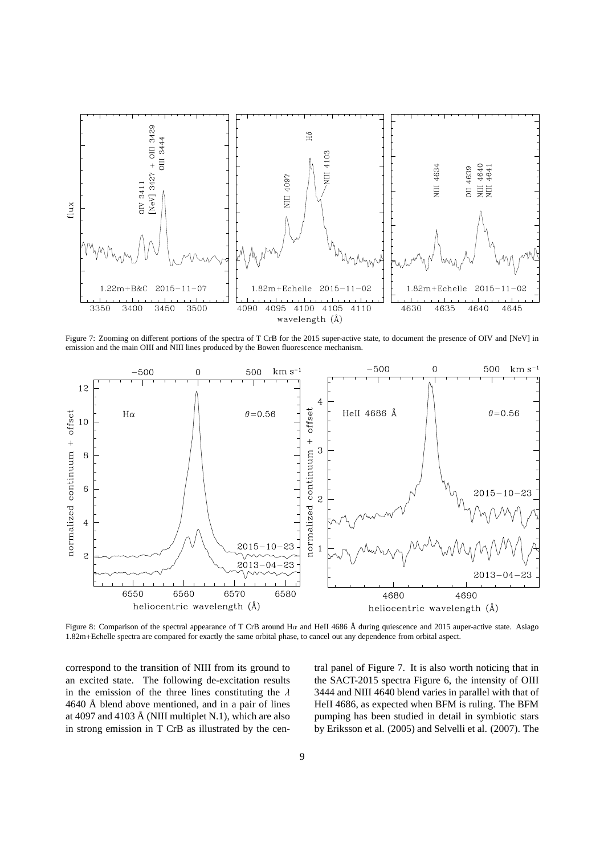

Figure 7: Zooming on different portions of the spectra of T CrB for the 2015 super-active state, to document the presence of OIV and [NeV] in emission and the main OIII and NIII lines produced by the Bowen fluorescence mechanism.



Figure 8: Comparison of the spectral appearance of T CrB around Ha and HeII 4686 Å during quiescence and 2015 auper-active state. Asiago 1.82m+Echelle spectra are compared for exactly the same orbital phase, to cancel out any dependence from orbital aspect.

correspond to the transition of NIII from its ground to an excited state. The following de-excitation results in the emission of the three lines constituting the  $\lambda$ 4640 Å blend above mentioned, and in a pair of lines at 4097 and 4103 Å (NIII multiplet N.1), which are also in strong emission in T CrB as illustrated by the central panel of Figure 7. It is also worth noticing that in the SACT-2015 spectra Figure 6, the intensity of OIII 3444 and NIII 4640 blend varies in parallel with that of HeII 4686, as expected when BFM is ruling. The BFM pumping has been studied in detail in symbiotic stars by Eriksson et al. (2005) and Selvelli et al. (2007). The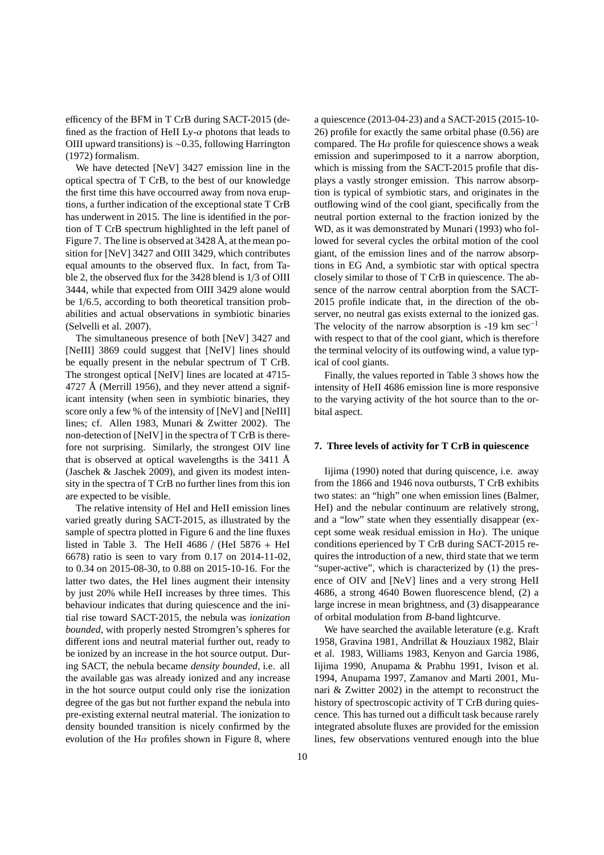efficency of the BFM in T CrB during SACT-2015 (defined as the fraction of HeII Ly- $\alpha$  photons that leads to OIII upward transitions) is ∼0.35, following Harrington (1972) formalism.

We have detected [NeV] 3427 emission line in the optical spectra of T CrB, to the best of our knowledge the first time this have occourred away from nova eruptions, a further indication of the exceptional state T CrB has underwent in 2015. The line is identified in the portion of T CrB spectrum highlighted in the left panel of Figure 7. The line is observed at 3428 Å, at the mean position for [NeV] 3427 and OIII 3429, which contributes equal amounts to the observed flux. In fact, from Table 2, the observed flux for the 3428 blend is 1/3 of OIII 3444, while that expected from OIII 3429 alone would be 1/6.5, according to both theoretical transition probabilities and actual observations in symbiotic binaries (Selvelli et al. 2007).

The simultaneous presence of both [NeV] 3427 and [NeIII] 3869 could suggest that [NeIV] lines should be equally present in the nebular spectrum of T CrB. The strongest optical [NeIV] lines are located at 4715- 4727 Å (Merrill 1956), and they never attend a significant intensity (when seen in symbiotic binaries, they score only a few % of the intensity of [NeV] and [NeIII] lines; cf. Allen 1983, Munari & Zwitter 2002). The non-detection of [NeIV] in the spectra of T CrB is therefore not surprising. Similarly, the strongest OIV line that is observed at optical wavelengths is the 3411 Å (Jaschek & Jaschek 2009), and given its modest intensity in the spectra of T CrB no further lines from this ion are expected to be visible.

The relative intensity of HeI and HeII emission lines varied greatly during SACT-2015, as illustrated by the sample of spectra plotted in Figure 6 and the line fluxes listed in Table 3. The HeII 4686 / (HeI  $5876 +$  HeI 6678) ratio is seen to vary from 0.17 on 2014-11-02, to 0.34 on 2015-08-30, to 0.88 on 2015-10-16. For the latter two dates, the HeI lines augment their intensity by just 20% while HeII increases by three times. This behaviour indicates that during quiescence and the initial rise toward SACT-2015, the nebula was *ionization bounded*, with properly nested Stromgren's spheres for different ions and neutral material further out, ready to be ionized by an increase in the hot source output. During SACT, the nebula became *density bounded*, i.e. all the available gas was already ionized and any increase in the hot source output could only rise the ionization degree of the gas but not further expand the nebula into pre-existing external neutral material. The ionization to density bounded transition is nicely confirmed by the evolution of the H $\alpha$  profiles shown in Figure 8, where

a quiescence (2013-04-23) and a SACT-2015 (2015-10- 26) profile for exactly the same orbital phase (0.56) are compared. The H $\alpha$  profile for quiescence shows a weak emission and superimposed to it a narrow aborption, which is missing from the SACT-2015 profile that displays a vastly stronger emission. This narrow absorption is typical of symbiotic stars, and originates in the outflowing wind of the cool giant, specifically from the neutral portion external to the fraction ionized by the WD, as it was demonstrated by Munari (1993) who followed for several cycles the orbital motion of the cool giant, of the emission lines and of the narrow absorptions in EG And, a symbiotic star with optical spectra closely similar to those of T CrB in quiescence. The absence of the narrow central aborption from the SACT-2015 profile indicate that, in the direction of the observer, no neutral gas exists external to the ionized gas. The velocity of the narrow absorption is -19 km sec<sup>-1</sup> with respect to that of the cool giant, which is therefore the terminal velocity of its outfowing wind, a value typical of cool giants.

Finally, the values reported in Table 3 shows how the intensity of HeII 4686 emission line is more responsive to the varying activity of the hot source than to the orbital aspect.

## **7. Three levels of activity for T CrB in quiescence**

Iijima (1990) noted that during quiscence, i.e. away from the 1866 and 1946 nova outbursts, T CrB exhibits two states: an "high" one when emission lines (Balmer, HeI) and the nebular continuum are relatively strong, and a "low" state when they essentially disappear (except some weak residual emission in  $H\alpha$ ). The unique conditions eperienced by T CrB during SACT-2015 requires the introduction of a new, third state that we term "super-active", which is characterized by (1) the presence of OIV and [NeV] lines and a very strong HeII 4686, a strong 4640 Bowen fluorescence blend, (2) a large increse in mean brightness, and (3) disappearance of orbital modulation from *B*-band lightcurve.

We have searched the available leterature (e.g. Kraft 1958, Gravina 1981, Andrillat & Houziaux 1982, Blair et al. 1983, Williams 1983, Kenyon and Garcia 1986, Iijima 1990, Anupama & Prabhu 1991, Ivison et al. 1994, Anupama 1997, Zamanov and Marti 2001, Munari & Zwitter 2002) in the attempt to reconstruct the history of spectroscopic activity of T CrB during quiescence. This has turned out a difficult task because rarely integrated absolute fluxes are provided for the emission lines, few observations ventured enough into the blue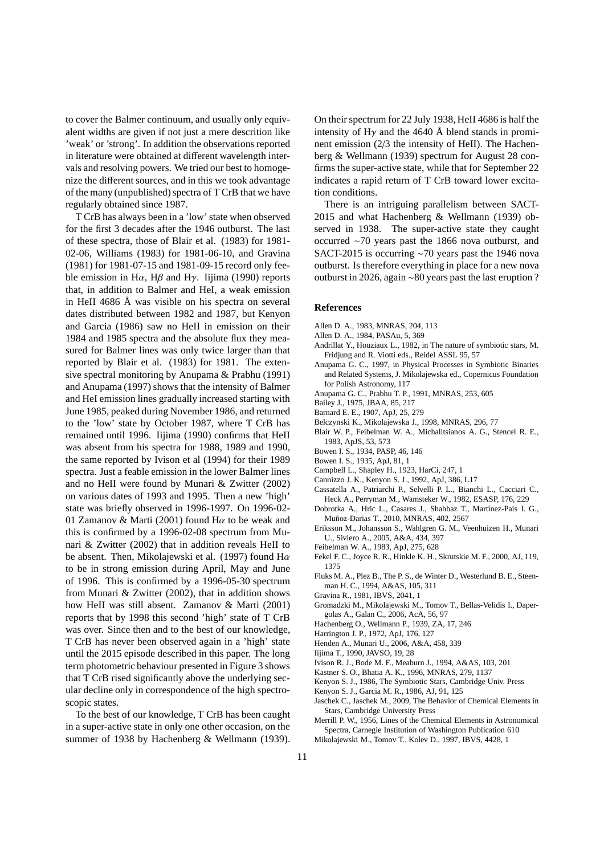to cover the Balmer continuum, and usually only equivalent widths are given if not just a mere descrition like 'weak' or 'strong'. In addition the observations reported in literature were obtained at different wavelength intervals and resolving powers. We tried our best to homogenize the different sources, and in this we took advantage of the many (unpublished) spectra of T CrB that we have regularly obtained since 1987.

T CrB has always been in a 'low' state when observed for the first 3 decades after the 1946 outburst. The last of these spectra, those of Blair et al. (1983) for 1981- 02-06, Williams (1983) for 1981-06-10, and Gravina (1981) for 1981-07-15 and 1981-09-15 record only feeble emission in H $\alpha$ , H $\beta$  and H $\gamma$ . Iijima (1990) reports that, in addition to Balmer and HeI, a weak emission in HeII 4686 Å was visible on his spectra on several dates distributed between 1982 and 1987, but Kenyon and Garcia (1986) saw no HeII in emission on their 1984 and 1985 spectra and the absolute flux they measured for Balmer lines was only twice larger than that reported by Blair et al. (1983) for 1981. The extensive spectral monitoring by Anupama & Prabhu (1991) and Anupama (1997) shows that the intensity of Balmer and HeI emission lines gradually increased starting with June 1985, peaked during November 1986, and returned to the 'low' state by October 1987, where T CrB has remained until 1996. Iijima (1990) confirms that HeII was absent from his spectra for 1988, 1989 and 1990, the same reported by Ivison et al (1994) for their 1989 spectra. Just a feable emission in the lower Balmer lines and no HeII were found by Munari & Zwitter (2002) on various dates of 1993 and 1995. Then a new 'high' state was briefly observed in 1996-1997. On 1996-02- 01 Zamanov & Marti (2001) found H $\alpha$  to be weak and this is confirmed by a 1996-02-08 spectrum from Munari & Zwitter (2002) that in addition reveals HeII to be absent. Then, Mikolajewski et al. (1997) found  $H\alpha$ to be in strong emission during April, May and June of 1996. This is confirmed by a 1996-05-30 spectrum from Munari & Zwitter (2002), that in addition shows how HeII was still absent. Zamanov & Marti (2001) reports that by 1998 this second 'high' state of T CrB was over. Since then and to the best of our knowledge, T CrB has never been observed again in a 'high' state until the 2015 episode described in this paper. The long term photometric behaviour presented in Figure 3 shows that T CrB rised significantly above the underlying secular decline only in correspondence of the high spectroscopic states.

To the best of our knowledge, T CrB has been caught in a super-active state in only one other occasion, on the summer of 1938 by Hachenberg & Wellmann (1939).

On their spectrum for 22 July 1938, HeII 4686 is half the intensity of H $\gamma$  and the 4640 Å blend stands in prominent emission (2/3 the intensity of HeII). The Hachenberg & Wellmann (1939) spectrum for August 28 confirms the super-active state, while that for September 22 indicates a rapid return of T CrB toward lower excitation conditions.

There is an intriguing parallelism between SACT-2015 and what Hachenberg & Wellmann (1939) observed in 1938. The super-active state they caught occurred ∼70 years past the 1866 nova outburst, and SACT-2015 is occurring ∼70 years past the 1946 nova outburst. Is therefore everything in place for a new nova outburst in 2026, again ∼80 years past the last eruption ?

## **References**

- Allen D. A., 1983, MNRAS, 204, 113
- Allen D. A., 1984, PASAu, 5, 369
- Andrillat Y., Houziaux L., 1982, in The nature of symbiotic stars, M. Fridjung and R. Viotti eds., Reidel ASSL 95, 57
- Anupama G. C., 1997, in Physical Processes in Symbiotic Binaries and Related Systems, J. Mikolajewska ed., Copernicus Foundation for Polish Astronomy, 117
- Anupama G. C., Prabhu T. P., 1991, MNRAS, 253, 605
- Bailey J., 1975, JBAA, 85, 217
- Barnard E. E., 1907, ApJ, 25, 279
- Belczynski K., Mikolajewska J., 1998, MNRAS, 296, 77
- Blair W. P., Feibelman W. A., Michalitsianos A. G., Stencel R. E., 1983, ApJS, 53, 573
- Bowen I. S., 1934, PASP, 46, 146
- Bowen I. S., 1935, ApJ, 81, 1
- Campbell L., Shapley H., 1923, HarCi, 247, 1
- Cannizzo J. K., Kenyon S. J., 1992, ApJ, 386, L17
- Cassatella A., Patriarchi P., Selvelli P. L., Bianchi L., Cacciari C., Heck A., Perryman M., Wamsteker W., 1982, ESASP, 176, 229
- Dobrotka A., Hric L., Casares J., Shahbaz T., Martínez-Pais I. G., Mu˜noz-Darias T., 2010, MNRAS, 402, 2567
- Eriksson M., Johansson S., Wahlgren G. M., Veenhuizen H., Munari U., Siviero A., 2005, A&A, 434, 397
- Feibelman W. A., 1983, ApJ, 275, 628
- Fekel F. C., Joyce R. R., Hinkle K. H., Skrutskie M. F., 2000, AJ, 119, 1375
- Fluks M. A., Plez B., The P. S., de Winter D., Westerlund B. E., Steenman H. C., 1994, A&AS, 105, 311
- Gravina R., 1981, IBVS, 2041, 1
- Gromadzki M., Mikolajewski M., Tomov T., Bellas-Velidis I., Dapergolas A., Galan C., 2006, AcA, 56, 97
- Hachenberg O., Wellmann P., 1939, ZA, 17, 246
- Harrington J. P., 1972, ApJ, 176, 127
- Henden A., Munari U., 2006, A&A, 458, 339
- Iijima T., 1990, JAVSO, 19, 28
- Ivison R. J., Bode M. F., Meaburn J., 1994, A&AS, 103, 201
- Kastner S. O., Bhatia A. K., 1996, MNRAS, 279, 1137
- Kenyon S. J., 1986, The Symbiotic Stars, Cambridge Univ. Press
- Kenyon S. J., Garcia M. R., 1986, AJ, 91, 125
- Jaschek C., Jaschek M., 2009, The Behavior of Chemical Elements in Stars, Cambridge University Press
- Merrill P. W., 1956, Lines of the Chemical Elements in Astronomical Spectra, Carnegie Institution of Washington Publication 610
- Mikolajewski M., Tomov T., Kolev D., 1997, IBVS, 4428, 1